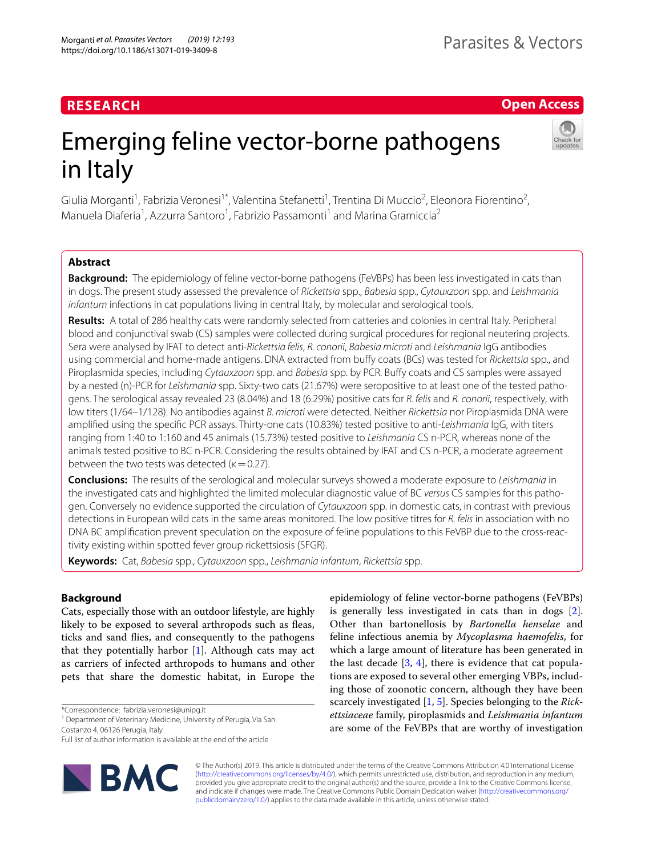# **RESEARCH**

# **Open Access**

# Emerging feline vector-borne pathogens in Italy

Giulia Morganti<sup>1</sup>, Fabrizia Veronesi<sup>1\*</sup>, Valentina Stefanetti<sup>1</sup>, Trentina Di Muccio<sup>2</sup>, Eleonora Fiorentino<sup>2</sup>, Manuela Diaferia<sup>1</sup>, Azzurra Santoro<sup>1</sup>, Fabrizio Passamonti<sup>1</sup> and Marina Gramiccia<sup>2</sup>

# **Abstract**

**Background:** The epidemiology of feline vector-borne pathogens (FeVBPs) has been less investigated in cats than in dogs. The present study assessed the prevalence of *Rickettsia* spp., *Babesia* spp., *Cytauxzoon* spp. and *Leishmania infantum* infections in cat populations living in central Italy, by molecular and serological tools.

**Results:** A total of 286 healthy cats were randomly selected from catteries and colonies in central Italy. Peripheral blood and conjunctival swab (CS) samples were collected during surgical procedures for regional neutering projects. Sera were analysed by IFAT to detect anti-*Rickettsia felis*, *R. conorii*, *Babesia microti* and *Leishmania* IgG antibodies using commercial and home-made antigens. DNA extracted from bufy coats (BCs) was tested for *Rickettsia* spp., and Piroplasmida species, including *Cytauxzoon* spp. and *Babesia* spp. by PCR. Bufy coats and CS samples were assayed by a nested (n)-PCR for *Leishmania* spp. Sixty-two cats (21.67%) were seropositive to at least one of the tested pathogens. The serological assay revealed 23 (8.04%) and 18 (6.29%) positive cats for *R. felis* and *R. conorii*, respectively, with low titers (1/64–1/128). No antibodies against *B. microti* were detected. Neither *Rickettsia* nor Piroplasmida DNA were amplifed using the specifc PCR assays. Thirty-one cats (10.83%) tested positive to anti-*Leishmania* IgG, with titers ranging from 1:40 to 1:160 and 45 animals (15.73%) tested positive to *Leishmania* CS n-PCR, whereas none of the animals tested positive to BC n-PCR. Considering the results obtained by IFAT and CS n-PCR, a moderate agreement between the two tests was detected ( $\kappa$  = 0.27).

**Conclusions:** The results of the serological and molecular surveys showed a moderate exposure to *Leishmania* in the investigated cats and highlighted the limited molecular diagnostic value of BC *versus* CS samples for this pathogen. Conversely no evidence supported the circulation of *Cytauxzoon* spp. in domestic cats, in contrast with previous detections in European wild cats in the same areas monitored. The low positive titres for *R. felis* in association with no DNA BC amplifcation prevent speculation on the exposure of feline populations to this FeVBP due to the cross-reactivity existing within spotted fever group rickettsiosis (SFGR).

**Keywords:** Cat, *Babesia* spp., *Cytauxzoon* spp., *Leishmania infantum*, *Rickettsia* spp.

# **Background**

Cats, especially those with an outdoor lifestyle, are highly likely to be exposed to several arthropods such as feas, ticks and sand fies, and consequently to the pathogens that they potentially harbor  $[1]$  $[1]$ . Although cats may act as carriers of infected arthropods to humans and other pets that share the domestic habitat, in Europe the

\*Correspondence: fabrizia.veronesi@unipg.it

Full list of author information is available at the end of the article



epidemiology of feline vector-borne pathogens (FeVBPs) is generally less investigated in cats than in dogs [\[2](#page-7-1)]. Other than bartonellosis by *Bartonella henselae* and feline infectious anemia by *Mycoplasma haemofelis*, for which a large amount of literature has been generated in the last decade  $[3, 4]$  $[3, 4]$  $[3, 4]$  $[3, 4]$  $[3, 4]$ , there is evidence that cat populations are exposed to several other emerging VBPs, including those of zoonotic concern, although they have been scarcely investigated [[1,](#page-7-0) [5](#page-7-4)]. Species belonging to the *Rickettsiaceae* family, piroplasmids and *Leishmania infantum* are some of the FeVBPs that are worthy of investigation

© The Author(s) 2019. This article is distributed under the terms of the Creative Commons Attribution 4.0 International License [\(http://creativecommons.org/licenses/by/4.0/\)](http://creativecommons.org/licenses/by/4.0/), which permits unrestricted use, distribution, and reproduction in any medium, provided you give appropriate credit to the original author(s) and the source, provide a link to the Creative Commons license, and indicate if changes were made. The Creative Commons Public Domain Dedication waiver ([http://creativecommons.org/](http://creativecommons.org/publicdomain/zero/1.0/) [publicdomain/zero/1.0/](http://creativecommons.org/publicdomain/zero/1.0/)) applies to the data made available in this article, unless otherwise stated.

<sup>&</sup>lt;sup>1</sup> Department of Veterinary Medicine, University of Perugia, Via San

Costanzo 4, 06126 Perugia, Italy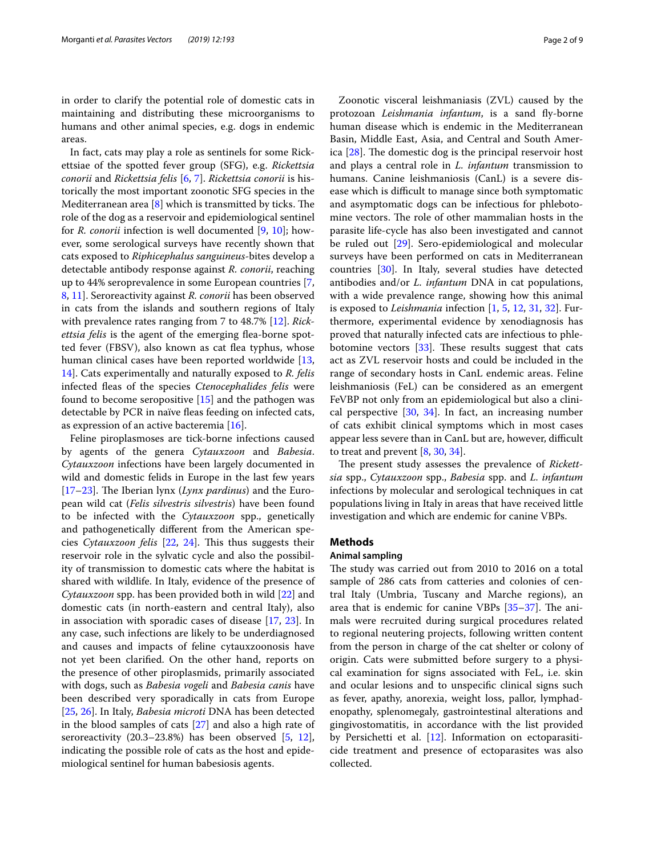in order to clarify the potential role of domestic cats in maintaining and distributing these microorganisms to humans and other animal species, e.g. dogs in endemic areas.

In fact, cats may play a role as sentinels for some Rickettsiae of the spotted fever group (SFG), e.g. *Rickettsia conorii* and *Rickettsia felis* [[6,](#page-7-5) [7](#page-7-6)]. *Rickettsia conorii* is historically the most important zoonotic SFG species in the Mediterranean area  $[8]$  $[8]$  which is transmitted by ticks. The role of the dog as a reservoir and epidemiological sentinel for *R. conorii* infection is well documented [[9,](#page-7-8) [10\]](#page-7-9); however, some serological surveys have recently shown that cats exposed to *Riphicephalus sanguineus*-bites develop a detectable antibody response against *R. conorii*, reaching up to 44% seroprevalence in some European countries [\[7](#page-7-6), [8,](#page-7-7) [11](#page-7-10)]. Seroreactivity against *R. conorii* has been observed in cats from the islands and southern regions of Italy with prevalence rates ranging from 7 to 48.7% [\[12\]](#page-7-11). *Rick*ettsia felis is the agent of the emerging flea-borne spotted fever (FBSV), also known as cat fea typhus, whose human clinical cases have been reported worldwide [\[13](#page-7-12), [14\]](#page-7-13). Cats experimentally and naturally exposed to *R. felis* infected feas of the species *Ctenocephalides felis* were found to become seropositive [[15](#page-7-14)] and the pathogen was detectable by PCR in naïve fleas feeding on infected cats, as expression of an active bacteremia [[16\]](#page-7-15).

Feline piroplasmoses are tick-borne infections caused by agents of the genera *Cytauxzoon* and *Babesia*. *Cytauxzoon* infections have been largely documented in wild and domestic felids in Europe in the last few years [[17–](#page-7-16)[23](#page-7-17)]. The Iberian lynx (*Lynx pardinus*) and the European wild cat (*Felis silvestris silvestris*) have been found to be infected with the *Cytauxzoon* spp., genetically and pathogenetically diferent from the American spe-cies Cytauxzoon felis [[22,](#page-7-18) [24](#page-7-19)]. This thus suggests their reservoir role in the sylvatic cycle and also the possibility of transmission to domestic cats where the habitat is shared with wildlife. In Italy, evidence of the presence of *Cytauxzoon* spp. has been provided both in wild [[22\]](#page-7-18) and domestic cats (in north-eastern and central Italy), also in association with sporadic cases of disease [[17,](#page-7-16) [23](#page-7-17)]. In any case, such infections are likely to be underdiagnosed and causes and impacts of feline cytauxzoonosis have not yet been clarifed. On the other hand, reports on the presence of other piroplasmids, primarily associated with dogs, such as *Babesia vogeli* and *Babesia canis* have been described very sporadically in cats from Europe [[25,](#page-7-20) [26](#page-7-21)]. In Italy, *Babesia microti* DNA has been detected in the blood samples of cats [[27](#page-7-22)] and also a high rate of seroreactivity (20.3–23.8%) has been observed [\[5](#page-7-4), [12](#page-7-11)], indicating the possible role of cats as the host and epidemiological sentinel for human babesiosis agents.

Zoonotic visceral leishmaniasis (ZVL) caused by the protozoan *Leishmania infantum*, is a sand fy-borne human disease which is endemic in the Mediterranean Basin, Middle East, Asia, and Central and South America  $[28]$  $[28]$ . The domestic dog is the principal reservoir host and plays a central role in *L. infantum* transmission to humans. Canine leishmaniosis (CanL) is a severe disease which is difficult to manage since both symptomatic and asymptomatic dogs can be infectious for phlebotomine vectors. The role of other mammalian hosts in the parasite life-cycle has also been investigated and cannot be ruled out [[29](#page-7-24)]. Sero-epidemiological and molecular surveys have been performed on cats in Mediterranean countries [[30](#page-8-0)]. In Italy, several studies have detected antibodies and/or *L. infantum* DNA in cat populations, with a wide prevalence range, showing how this animal is exposed to *Leishmania* infection [[1,](#page-7-0) [5,](#page-7-4) [12,](#page-7-11) [31](#page-8-1), [32](#page-8-2)]. Furthermore, experimental evidence by xenodiagnosis has proved that naturally infected cats are infectious to phlebotomine vectors  $[33]$  $[33]$ . These results suggest that cats act as ZVL reservoir hosts and could be included in the range of secondary hosts in CanL endemic areas. Feline leishmaniosis (FeL) can be considered as an emergent FeVBP not only from an epidemiological but also a clinical perspective [[30,](#page-8-0) [34](#page-8-4)]. In fact, an increasing number of cats exhibit clinical symptoms which in most cases appear less severe than in CanL but are, however, difficult to treat and prevent [\[8,](#page-7-7) [30](#page-8-0), [34\]](#page-8-4).

The present study assesses the prevalence of *Rickettsia* spp., *Cytauxzoon* spp., *Babesia* spp. and *L. infantum* infections by molecular and serological techniques in cat populations living in Italy in areas that have received little investigation and which are endemic for canine VBPs.

## **Methods**

# **Animal sampling**

The study was carried out from 2010 to 2016 on a total sample of 286 cats from catteries and colonies of central Italy (Umbria, Tuscany and Marche regions), an area that is endemic for canine VBPs  $[35-37]$  $[35-37]$  $[35-37]$ . The animals were recruited during surgical procedures related to regional neutering projects, following written content from the person in charge of the cat shelter or colony of origin. Cats were submitted before surgery to a physical examination for signs associated with FeL, i.e. skin and ocular lesions and to unspecifc clinical signs such as fever, apathy, anorexia, weight loss, pallor, lymphadenopathy, splenomegaly, gastrointestinal alterations and gingivostomatitis, in accordance with the list provided by Persichetti et al. [\[12\]](#page-7-11). Information on ectoparasiticide treatment and presence of ectoparasites was also collected.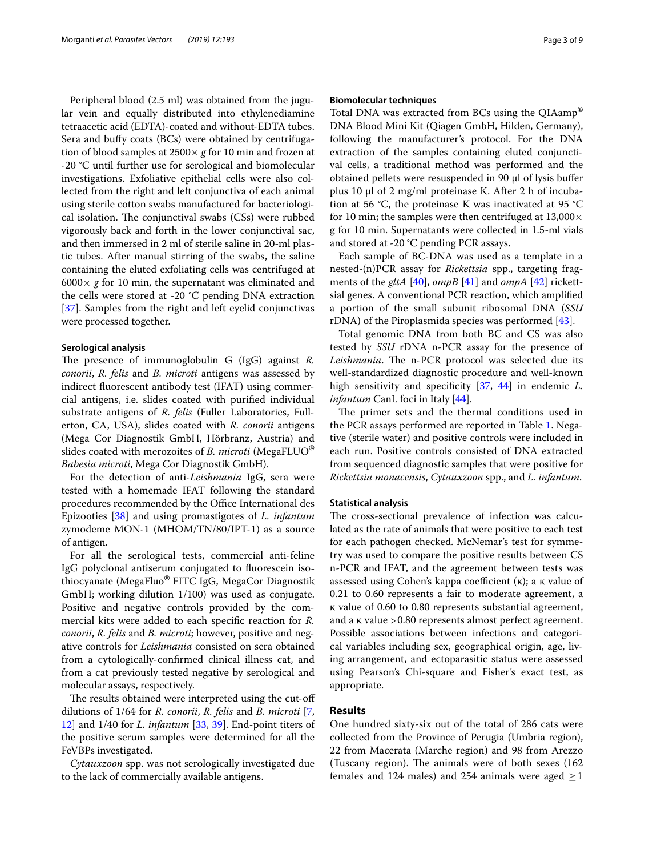Peripheral blood (2.5 ml) was obtained from the jugular vein and equally distributed into ethylenediamine tetraacetic acid (EDTA)-coated and without-EDTA tubes. Sera and bufy coats (BCs) were obtained by centrifugation of blood samples at 2500× *g* for 10 min and frozen at -20 °C until further use for serological and biomolecular investigations. Exfoliative epithelial cells were also collected from the right and left conjunctiva of each animal using sterile cotton swabs manufactured for bacteriological isolation. The conjunctival swabs (CSs) were rubbed vigorously back and forth in the lower conjunctival sac, and then immersed in 2 ml of sterile saline in 20-ml plastic tubes. After manual stirring of the swabs, the saline containing the eluted exfoliating cells was centrifuged at  $6000 \times g$  for 10 min, the supernatant was eliminated and the cells were stored at -20 °C pending DNA extraction [[37\]](#page-8-6). Samples from the right and left eyelid conjunctivas were processed together.

## **Serological analysis**

The presence of immunoglobulin G (IgG) against *R*. *conorii*, *R. felis* and *B. microti* antigens was assessed by indirect fuorescent antibody test (IFAT) using commercial antigens, i.e. slides coated with purifed individual substrate antigens of *R. felis* (Fuller Laboratories, Fullerton, CA, USA), slides coated with *R. conorii* antigens (Mega Cor Diagnostik GmbH, Hörbranz, Austria) and slides coated with merozoites of *B. microti* (MegaFLUO® *Babesia microti*, Mega Cor Diagnostik GmbH).

For the detection of anti-*Leishmania* IgG, sera were tested with a homemade IFAT following the standard procedures recommended by the Office International des Epizooties [\[38\]](#page-8-7) and using promastigotes of *L. infantum* zymodeme MON-1 (MHOM/TN/80/IPT-1) as a source of antigen.

For all the serological tests, commercial anti-feline IgG polyclonal antiserum conjugated to fuorescein isothiocyanate (MegaFluo® FITC IgG, MegaCor Diagnostik GmbH; working dilution 1/100) was used as conjugate. Positive and negative controls provided by the commercial kits were added to each specifc reaction for *R. conorii*, *R. felis* and *B. microti*; however, positive and negative controls for *Leishmania* consisted on sera obtained from a cytologically-confrmed clinical illness cat, and from a cat previously tested negative by serological and molecular assays, respectively.

The results obtained were interpreted using the cut-off dilutions of 1/64 for *R. conorii*, *R. felis* and *B. microti* [\[7](#page-7-6), [12\]](#page-7-11) and 1/40 for *L. infantum* [[33,](#page-8-3) [39\]](#page-8-8). End-point titers of the positive serum samples were determined for all the FeVBPs investigated.

*Cytauxzoon* spp. was not serologically investigated due to the lack of commercially available antigens.

## **Biomolecular techniques**

Total DNA was extracted from BCs using the QIAamp® DNA Blood Mini Kit (Qiagen GmbH, Hilden, Germany), following the manufacturer's protocol. For the DNA extraction of the samples containing eluted conjunctival cells, a traditional method was performed and the obtained pellets were resuspended in 90 μl of lysis bufer plus 10 μl of 2 mg/ml proteinase K. After 2 h of incubation at 56 °C, the proteinase K was inactivated at 95 °C for 10 min; the samples were then centrifuged at  $13,000 \times$ g for 10 min. Supernatants were collected in 1.5-ml vials and stored at -20 °C pending PCR assays.

Each sample of BC-DNA was used as a template in a nested-(n)PCR assay for *Rickettsia* spp., targeting fragments of the *gltA* [[40](#page-8-9)], *ompB* [\[41\]](#page-8-10) and *ompA* [[42\]](#page-8-11) rickettsial genes. A conventional PCR reaction, which amplifed a portion of the small subunit ribosomal DNA (*SSU* rDNA) of the Piroplasmida species was performed [[43\]](#page-8-12).

Total genomic DNA from both BC and CS was also tested by *SSU* rDNA n-PCR assay for the presence of Leishmania. The n-PCR protocol was selected due its well-standardized diagnostic procedure and well-known high sensitivity and specificity [\[37,](#page-8-6) [44\]](#page-8-13) in endemic *L*. *infantum* CanL foci in Italy [[44\]](#page-8-13).

The primer sets and the thermal conditions used in the PCR assays performed are reported in Table [1.](#page-3-0) Negative (sterile water) and positive controls were included in each run. Positive controls consisted of DNA extracted from sequenced diagnostic samples that were positive for *Rickettsia monacensis*, *Cytauxzoon* spp., and *L. infantum*.

# **Statistical analysis**

The cross-sectional prevalence of infection was calculated as the rate of animals that were positive to each test for each pathogen checked. McNemar's test for symmetry was used to compare the positive results between CS n-PCR and IFAT, and the agreement between tests was assessed using Cohen's kappa coefficient  $(\kappa)$ ; a  $\kappa$  value of 0.21 to 0.60 represents a fair to moderate agreement, a κ value of 0.60 to 0.80 represents substantial agreement, and a κ value >0.80 represents almost perfect agreement. Possible associations between infections and categorical variables including sex, geographical origin, age, living arrangement, and ectoparasitic status were assessed using Pearson's Chi-square and Fisher's exact test, as appropriate.

# **Results**

One hundred sixty-six out of the total of 286 cats were collected from the Province of Perugia (Umbria region), 22 from Macerata (Marche region) and 98 from Arezzo (Tuscany region). The animals were of both sexes  $(162)$ females and 124 males) and 254 animals were aged  $\geq$  1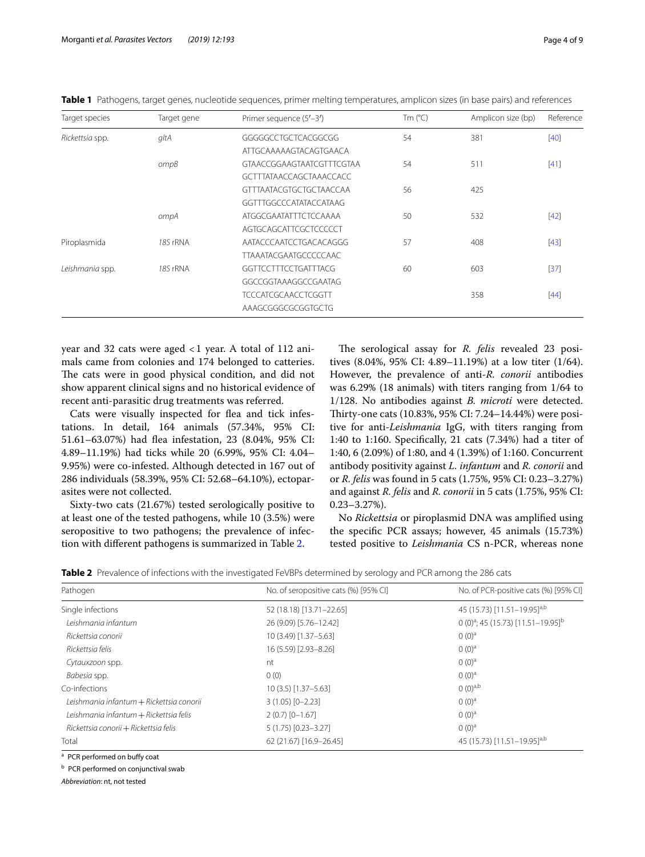| Target species  | Primer sequence (5'-3')<br>Target gene |                                  | Tm $(^{\circ}C)$ | Amplicon size (bp) | Reference |
|-----------------|----------------------------------------|----------------------------------|------------------|--------------------|-----------|
| Rickettsia spp. | gltA                                   | GGGGGCCTGCTCACGGCGG              | 54               | 381                | [40]      |
|                 |                                        | ATTGCAAAAAGTACAGTGAACA           |                  |                    |           |
|                 | ompB                                   | <b>GTAACCGGAAGTAATCGTTTCGTAA</b> | 54               | 511                | $[41]$    |
|                 |                                        | <b>GCTTTATAACCAGCTAAACCACC</b>   |                  |                    |           |
|                 |                                        | <b>GTTTAATACGTGCTGCTAACCAA</b>   | 56               | 425                |           |
|                 |                                        | GGTTTGGCCCATATACCATAAG           |                  |                    |           |
|                 | ompA                                   | <b>ATGGCGAATATTTCTCCAAAA</b>     | 50               | 532                | $[42]$    |
|                 |                                        | AGTGCAGCATTCGCTCCCCCT            |                  |                    |           |
| Piroplasmida    | 18S rRNA                               | AATACCCAATCCTGACACAGGG           | 57               | 408                | $[43]$    |
|                 |                                        | <b>TTAAATACGAATGCCCCCCAAC</b>    |                  |                    |           |
| Leishmania spp. | 18S rRNA                               | <b>GGTTCCTTTCCTGATTTACG</b>      | 60               | 603                | $[37]$    |
|                 |                                        | GGCCGGTAAAGGCCGAATAG             |                  |                    |           |
|                 |                                        | <b>TCCCATCGCAACCTCGGTT</b>       |                  | 358                | $[44]$    |
|                 |                                        | AAAGCGGGCGCGGTGCTG               |                  |                    |           |

<span id="page-3-0"></span>**Table 1** Pathogens, target genes, nucleotide sequences, primer melting temperatures, amplicon sizes (in base pairs) and references

year and 32 cats were aged <1 year. A total of 112 animals came from colonies and 174 belonged to catteries. The cats were in good physical condition, and did not show apparent clinical signs and no historical evidence of recent anti-parasitic drug treatments was referred.

Cats were visually inspected for flea and tick infestations. In detail, 164 animals (57.34%, 95% CI: 51.61–63.07%) had fea infestation, 23 (8.04%, 95% CI: 4.89–11.19%) had ticks while 20 (6.99%, 95% CI: 4.04– 9.95%) were co-infested. Although detected in 167 out of 286 individuals (58.39%, 95% CI: 52.68–64.10%), ectoparasites were not collected.

Sixty-two cats (21.67%) tested serologically positive to at least one of the tested pathogens, while 10 (3.5%) were seropositive to two pathogens; the prevalence of infection with diferent pathogens is summarized in Table [2](#page-3-1).

The serological assay for *R. felis* revealed 23 positives (8.04%, 95% CI: 4.89–11.19%) at a low titer (1/64). However, the prevalence of anti-*R. conorii* antibodies was 6.29% (18 animals) with titers ranging from 1/64 to 1/128. No antibodies against *B. microti* were detected. Thirty-one cats (10.83%, 95% CI: 7.24-14.44%) were positive for anti-*Leishmania* IgG, with titers ranging from 1:40 to 1:160. Specifcally, 21 cats (7.34%) had a titer of 1:40, 6 (2.09%) of 1:80, and 4 (1.39%) of 1:160. Concurrent antibody positivity against *L. infantum* and *R. conorii* and or *R. felis* was found in 5 cats (1.75%, 95% CI: 0.23–3.27%) and against *R. felis* and *R. conorii* in 5 cats (1.75%, 95% CI: 0.23–3.27%).

No *Rickettsia* or piroplasmid DNA was amplifed using the specifc PCR assays; however, 45 animals (15.73%) tested positive to *Leishmania* CS n-PCR, whereas none

<span id="page-3-1"></span>

|  |  | Table 2 Prevalence of infections with the investigated FeVBPs determined by serology and PCR among the 286 cats |  |  |
|--|--|-----------------------------------------------------------------------------------------------------------------|--|--|
|--|--|-----------------------------------------------------------------------------------------------------------------|--|--|

| Pathogen                                 | No. of seropositive cats (%) [95% CI] | No. of PCR-positive cats (%) [95% CI]             |  |  |
|------------------------------------------|---------------------------------------|---------------------------------------------------|--|--|
| Single infections                        | 52 (18.18) [13.71-22.65]              | 45 (15.73) [11.51-19.95] <sup>a,b</sup>           |  |  |
| Leishmania infantum                      | 26 (9.09) [5.76-12.42]                | $(0.00^{a}; 45.15.73)$ [11.51-19.95] <sup>b</sup> |  |  |
| Rickettsia conorii                       | 10 (3.49) [1.37-5.63]                 | $(0(0)^a)$                                        |  |  |
| Rickettsia felis                         | 16 (5.59) [2.93-8.26]                 | $(0)(0)^a$                                        |  |  |
| Cytauxzoon spp.                          | nt                                    | $(0)(0)^a$                                        |  |  |
| Babesia spp.                             | 0(0)                                  | $(0(0)$ <sup>a</sup>                              |  |  |
| Co-infections                            | $10(3.5)$ [1.37-5.63]                 | $(0(0)^{a,b}$                                     |  |  |
| Leishmania infantum + Rickettsia conorii | $3(1.05)$ $[0-2.23]$                  | $(0)(0)^a$                                        |  |  |
| Leishmania infantum + Rickettsia felis   | $2(0.7)$ [0-1.67]                     | $(0)(0)^a$                                        |  |  |
| Rickettsia conorii + Rickettsia felis    | $5(1.75)$ $[0.23 - 3.27]$             | $(0(0)^a)$                                        |  |  |
| Total                                    | 62 (21.67) [16.9-26.45]               | 45 (15.73) [11.51-19.95] <sup>a,b</sup>           |  |  |

<sup>a</sup> PCR performed on bufy coat

**b** PCR performed on conjunctival swab

*Abbreviation*: nt, not tested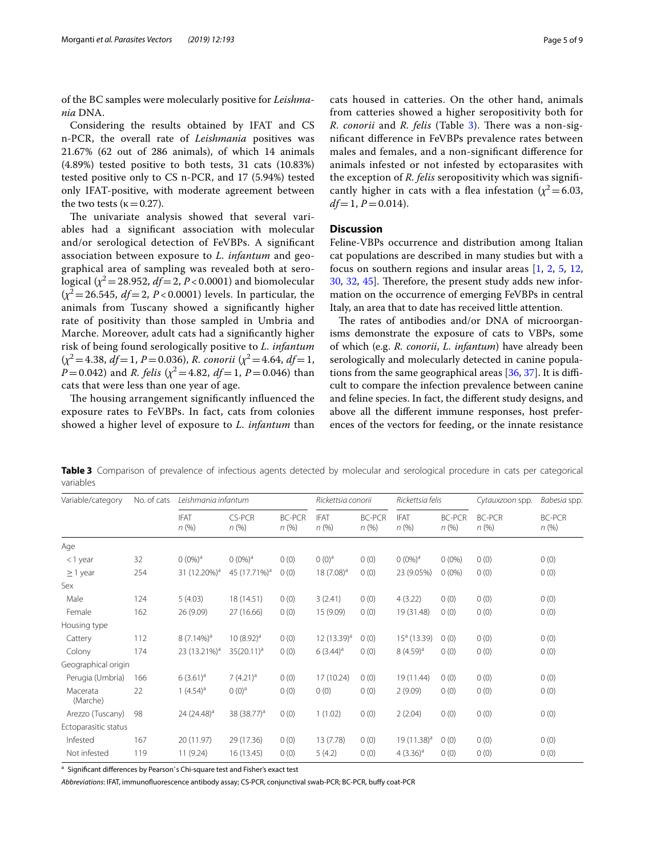of the BC samples were molecularly positive for *Leishmania* DNA.

Considering the results obtained by IFAT and CS n-PCR, the overall rate of *Leishmania* positives was 21.67% (62 out of 286 animals), of which 14 animals (4.89%) tested positive to both tests, 31 cats (10.83%) tested positive only to CS n-PCR, and 17 (5.94%) tested only IFAT-positive, with moderate agreement between the two tests ( $\kappa$  = 0.27).

The univariate analysis showed that several variables had a signifcant association with molecular and/or serological detection of FeVBPs. A signifcant association between exposure to *L. infantum* and geographical area of sampling was revealed both at serological  $(\chi^2 = 28.952, df = 2, P < 0.0001)$  and biomolecular  $(x^2 = 26.545, df = 2, P < 0.0001)$  levels. In particular, the animals from Tuscany showed a signifcantly higher rate of positivity than those sampled in Umbria and Marche. Moreover, adult cats had a signifcantly higher risk of being found serologically positive to *L. infantum* (*χ*<sup>2</sup>=4.38, *df*=1, *P*=0.036), *R. conorii* (*χ*<sup>2</sup>=4.64, *df*=1, *P*=0.042) and *R. felis* ( $\chi^2$ =4.82, *df*=1, *P*=0.046) than cats that were less than one year of age.

The housing arrangement significantly influenced the exposure rates to FeVBPs. In fact, cats from colonies showed a higher level of exposure to *L. infantum* than cats housed in catteries. On the other hand, animals from catteries showed a higher seropositivity both for *R. conorii* and *R. felis* (Table [3\)](#page-4-0). There was a non-signifcant diference in FeVBPs prevalence rates between males and females, and a non-signifcant diference for animals infested or not infested by ectoparasites with the exception of *R. felis* seropositivity which was signifcantly higher in cats with a flea infestation  $(\chi^2=6.03,$ 

# **Discussion**

*df*=1, *P*=0.014).

Feline-VBPs occurrence and distribution among Italian cat populations are described in many studies but with a focus on southern regions and insular areas [[1,](#page-7-0) [2](#page-7-1), [5,](#page-7-4) [12](#page-7-11), [30,](#page-8-0) [32,](#page-8-2) [45\]](#page-8-14). Therefore, the present study adds new information on the occurrence of emerging FeVBPs in central Italy, an area that to date has received little attention.

The rates of antibodies and/or DNA of microorganisms demonstrate the exposure of cats to VBPs, some of which (e.g. *R. conorii*, *L. infantum*) have already been serologically and molecularly detected in canine populations from the same geographical areas  $[36, 37]$  $[36, 37]$  $[36, 37]$  $[36, 37]$ . It is difficult to compare the infection prevalence between canine and feline species. In fact, the diferent study designs, and above all the diferent immune responses, host preferences of the vectors for feeding, or the innate resistance

<span id="page-4-0"></span>**Table 3** Comparison of prevalence of infectious agents detected by molecular and serological procedure in cats per categorical variables

| Variable/category    | No. of cats | Leishmania infantum      |                          |                          | Rickettsia conorii      |                          | Rickettsia felis        |                          | Cytauxzoon spp.       | Babesia spp.          |
|----------------------|-------------|--------------------------|--------------------------|--------------------------|-------------------------|--------------------------|-------------------------|--------------------------|-----------------------|-----------------------|
|                      |             | <b>IFAT</b><br>n(%)      | CS-PCR<br>$n$ (%)        | <b>BC-PCR</b><br>$n$ (%) | <b>IFAT</b><br>n(%)     | <b>BC-PCR</b><br>$n$ (%) | <b>IFAT</b><br>$n$ (%)  | <b>BC-PCR</b><br>$n$ (%) | <b>BC-PCR</b><br>n(%) | <b>BC-PCR</b><br>n(%) |
| Age                  |             |                          |                          |                          |                         |                          |                         |                          |                       |                       |
| $<$ 1 year           | 32          | $0 (0\%)^a$              | $(0.0\%)^a$              | 0(0)                     | $(0)(0)^a$              | 0(0)                     | $(0.0\%)^a$             | $0(0\%)$                 | 0(0)                  | 0(0)                  |
| $\geq$ 1 year        | 254         | 31 (12.20%) <sup>a</sup> | 45 (17.71%) <sup>a</sup> | 0(0)                     | $18(7.08)^a$            | 0(0)                     | 23 (9.05%)              | $0(0\%)$                 | 0(0)                  | 0(0)                  |
| Sex                  |             |                          |                          |                          |                         |                          |                         |                          |                       |                       |
| Male                 | 124         | 5(4.03)                  | 18 (14.51)               | 0(0)                     | 3(2.41)                 | 0(0)                     | 4(3.22)                 | 0(0)                     | 0(0)                  | 0(0)                  |
| Female               | 162         | 26 (9.09)                | 27 (16.66)               | 0(0)                     | 15 (9.09)               | 0(0)                     | 19 (31.48)              | 0(0)                     | 0(0)                  | 0(0)                  |
| Housing type         |             |                          |                          |                          |                         |                          |                         |                          |                       |                       |
| Cattery              | 112         | $8(7.14\%)a$             | $10(8.92)^a$             | 0(0)                     | 12 (13.39) <sup>a</sup> | 0(0)                     | $15a$ (13.39)           | 0(0)                     | 0(0)                  | 0(0)                  |
| Colony               | 174         | 23 (13.21%) <sup>a</sup> | $35(20.11)^a$            | 0(0)                     | $6(3.44)^{a}$           | 0(0)                     | $8(4.59)^{a}$           | 0(0)                     | 0(0)                  | 0(0)                  |
| Geographical origin  |             |                          |                          |                          |                         |                          |                         |                          |                       |                       |
| Perugia (Umbria)     | 166         | $6(3.61)^a$              | $7(4.21)^a$              | 0(0)                     | 17 (10.24)              | 0(0)                     | 19 (11.44)              | 0(0)                     | 0(0)                  | 0(0)                  |
| Macerata<br>(Marche) | 22          | 1 $(4.54)^a$             | $(0)(0)^a$               | 0(0)                     | 0(0)                    | 0(0)                     | 2(9.09)                 | 0(0)                     | 0(0)                  | 0(0)                  |
| Arezzo (Tuscany)     | 98          | 24 $(24.48)^a$           | 38 (38.77) <sup>a</sup>  | 0(0)                     | 1(1.02)                 | 0(0)                     | 2(2.04)                 | 0(0)                     | 0(0)                  | 0(0)                  |
| Ectoparasitic status |             |                          |                          |                          |                         |                          |                         |                          |                       |                       |
| Infested             | 167         | 20 (11.97)               | 29 (17.36)               | 0(0)                     | 13 (7.78)               | 0(0)                     | 19 (11.38) <sup>a</sup> | 0(0)                     | 0(0)                  | 0(0)                  |
| Not infested         | 119         | 11 (9.24)                | 16(13.45)                | 0(0)                     | 5(4.2)                  | 0(0)                     | $4(3.36)^a$             | 0(0)                     | 0(0)                  | 0(0)                  |

<sup>a</sup> Significant differences by Pearson's Chi-square test and Fisher's exact test

*Abbreviations*: IFAT, immunofuorescence antibody assay; CS-PCR, conjunctival swab-PCR; BC-PCR, bufy coat-PCR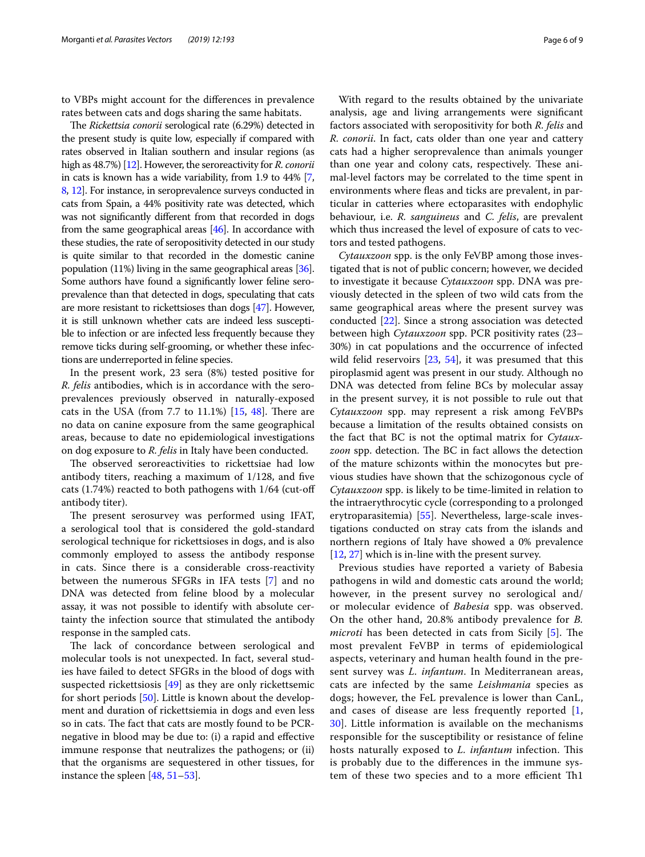to VBPs might account for the diferences in prevalence rates between cats and dogs sharing the same habitats.

The *Rickettsia conorii* serological rate (6.29%) detected in the present study is quite low, especially if compared with rates observed in Italian southern and insular regions (as high as 48.7%) [[12](#page-7-11)]. However, the seroreactivity for *R. conorii* in cats is known has a wide variability, from 1.9 to 44% [[7](#page-7-6), [8](#page-7-7), [12](#page-7-11)]. For instance, in seroprevalence surveys conducted in cats from Spain, a 44% positivity rate was detected, which was not signifcantly diferent from that recorded in dogs from the same geographical areas [[46](#page-8-16)]. In accordance with these studies, the rate of seropositivity detected in our study is quite similar to that recorded in the domestic canine population (11%) living in the same geographical areas [\[36](#page-8-15)]. Some authors have found a signifcantly lower feline seroprevalence than that detected in dogs, speculating that cats are more resistant to rickettsioses than dogs [\[47\]](#page-8-17). However, it is still unknown whether cats are indeed less susceptible to infection or are infected less frequently because they remove ticks during self-grooming, or whether these infections are underreported in feline species.

In the present work, 23 sera (8%) tested positive for *R. felis* antibodies, which is in accordance with the seroprevalences previously observed in naturally-exposed cats in the USA (from  $7.7$  to  $11.1\%$ )  $[15, 48]$  $[15, 48]$  $[15, 48]$ . There are no data on canine exposure from the same geographical areas, because to date no epidemiological investigations on dog exposure to *R. felis* in Italy have been conducted.

The observed seroreactivities to rickettsiae had low antibody titers, reaching a maximum of 1/128, and fve cats (1.74%) reacted to both pathogens with 1/64 (cut-of antibody titer).

The present serosurvey was performed using IFAT, a serological tool that is considered the gold-standard serological technique for rickettsioses in dogs, and is also commonly employed to assess the antibody response in cats. Since there is a considerable cross-reactivity between the numerous SFGRs in IFA tests [\[7\]](#page-7-6) and no DNA was detected from feline blood by a molecular assay, it was not possible to identify with absolute certainty the infection source that stimulated the antibody response in the sampled cats.

The lack of concordance between serological and molecular tools is not unexpected. In fact, several studies have failed to detect SFGRs in the blood of dogs with suspected rickettsiosis [\[49](#page-8-19)] as they are only rickettsemic for short periods [[50](#page-8-20)]. Little is known about the development and duration of rickettsiemia in dogs and even less so in cats. The fact that cats are mostly found to be PCRnegative in blood may be due to: (i) a rapid and efective immune response that neutralizes the pathogens; or (ii) that the organisms are sequestered in other tissues, for instance the spleen [[48,](#page-8-18) [51](#page-8-21)[–53\]](#page-8-22).

With regard to the results obtained by the univariate analysis, age and living arrangements were signifcant factors associated with seropositivity for both *R. felis* and *R. conorii*. In fact, cats older than one year and cattery cats had a higher seroprevalence than animals younger than one year and colony cats, respectively. These animal-level factors may be correlated to the time spent in environments where feas and ticks are prevalent, in particular in catteries where ectoparasites with endophylic behaviour, i.e. *R. sanguineus* and *C. felis*, are prevalent which thus increased the level of exposure of cats to vectors and tested pathogens.

*Cytauxzoon* spp. is the only FeVBP among those investigated that is not of public concern; however, we decided to investigate it because *Cytauxzoon* spp. DNA was previously detected in the spleen of two wild cats from the same geographical areas where the present survey was conducted [\[22](#page-7-18)]. Since a strong association was detected between high *Cytauxzoon* spp. PCR positivity rates (23– 30%) in cat populations and the occurrence of infected wild felid reservoirs [\[23,](#page-7-17) [54\]](#page-8-23), it was presumed that this piroplasmid agent was present in our study. Although no DNA was detected from feline BCs by molecular assay in the present survey, it is not possible to rule out that *Cytauxzoon* spp. may represent a risk among FeVBPs because a limitation of the results obtained consists on the fact that BC is not the optimal matrix for *Cytauxzoon* spp. detection. The BC in fact allows the detection of the mature schizonts within the monocytes but previous studies have shown that the schizogonous cycle of *Cytauxzoon* spp. is likely to be time-limited in relation to the intraerythrocytic cycle (corresponding to a prolonged erytroparasitemia) [[55\]](#page-8-24). Nevertheless, large-scale investigations conducted on stray cats from the islands and northern regions of Italy have showed a 0% prevalence [[12,](#page-7-11) [27](#page-7-22)] which is in-line with the present survey.

Previous studies have reported a variety of Babesia pathogens in wild and domestic cats around the world; however, in the present survey no serological and/ or molecular evidence of *Babesia* spp. was observed. On the other hand, 20.8% antibody prevalence for *B. microti* has been detected in cats from Sicily [\[5](#page-7-4)]. The most prevalent FeVBP in terms of epidemiological aspects, veterinary and human health found in the present survey was *L. infantum*. In Mediterranean areas, cats are infected by the same *Leishmania* species as dogs; however, the FeL prevalence is lower than CanL, and cases of disease are less frequently reported [\[1](#page-7-0), [30\]](#page-8-0). Little information is available on the mechanisms responsible for the susceptibility or resistance of feline hosts naturally exposed to *L. infantum* infection. This is probably due to the diferences in the immune system of these two species and to a more efficient Th<sub>1</sub>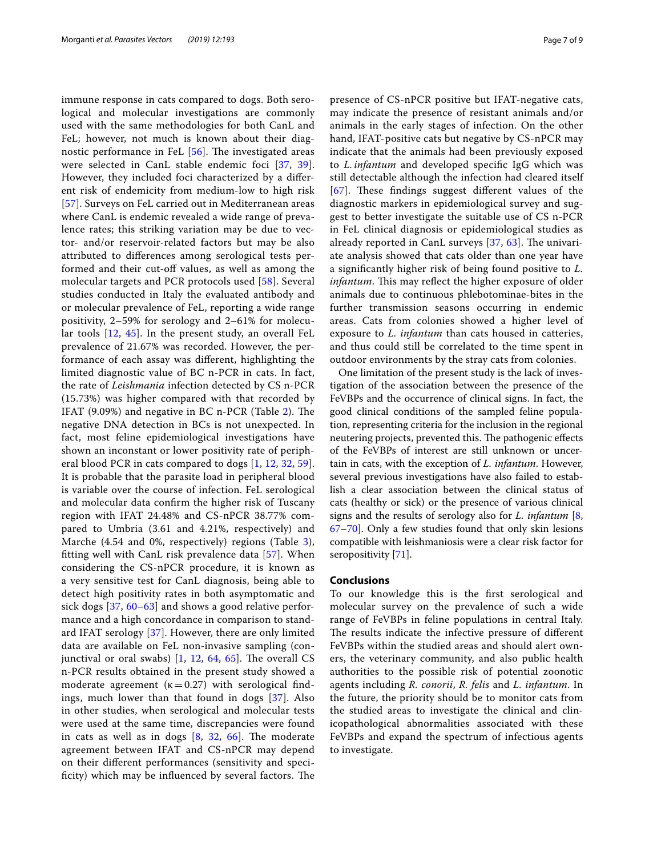immune response in cats compared to dogs. Both serological and molecular investigations are commonly used with the same methodologies for both CanL and FeL; however, not much is known about their diagnostic performance in FeL  $[56]$  $[56]$ . The investigated areas were selected in CanL stable endemic foci [\[37](#page-8-6), [39\]](#page-8-8). However, they included foci characterized by a diferent risk of endemicity from medium-low to high risk [[57](#page-8-26)]. Surveys on FeL carried out in Mediterranean areas where CanL is endemic revealed a wide range of prevalence rates; this striking variation may be due to vector- and/or reservoir-related factors but may be also attributed to diferences among serological tests performed and their cut-off values, as well as among the molecular targets and PCR protocols used [[58\]](#page-8-27). Several studies conducted in Italy the evaluated antibody and or molecular prevalence of FeL, reporting a wide range positivity, 2–59% for serology and 2–61% for molecular tools [[12,](#page-7-11) [45\]](#page-8-14). In the present study, an overall FeL prevalence of 21.67% was recorded. However, the performance of each assay was diferent, highlighting the limited diagnostic value of BC n-PCR in cats. In fact, the rate of *Leishmania* infection detected by CS n-PCR (15.73%) was higher compared with that recorded by IFAT  $(9.09%)$  and negative in BC n-PCR (Table [2](#page-3-1)). The negative DNA detection in BCs is not unexpected. In fact, most feline epidemiological investigations have shown an inconstant or lower positivity rate of peripheral blood PCR in cats compared to dogs [[1,](#page-7-0) [12,](#page-7-11) [32,](#page-8-2) [59\]](#page-8-28). It is probable that the parasite load in peripheral blood is variable over the course of infection. FeL serological and molecular data confrm the higher risk of Tuscany region with IFAT 24.48% and CS-nPCR 38.77% compared to Umbria (3.61 and 4.21%, respectively) and Marche (4.54 and 0%, respectively) regions (Table [3\)](#page-4-0), ftting well with CanL risk prevalence data [[57\]](#page-8-26). When considering the CS-nPCR procedure, it is known as a very sensitive test for CanL diagnosis, being able to detect high positivity rates in both asymptomatic and sick dogs [\[37,](#page-8-6) [60–](#page-8-29)[63\]](#page-8-30) and shows a good relative performance and a high concordance in comparison to standard IFAT serology [[37\]](#page-8-6). However, there are only limited data are available on FeL non-invasive sampling (conjunctival or oral swabs)  $[1, 12, 64, 65]$  $[1, 12, 64, 65]$  $[1, 12, 64, 65]$  $[1, 12, 64, 65]$  $[1, 12, 64, 65]$  $[1, 12, 64, 65]$  $[1, 12, 64, 65]$  $[1, 12, 64, 65]$  $[1, 12, 64, 65]$ . The overall CS n-PCR results obtained in the present study showed a moderate agreement ( $\kappa$  = 0.27) with serological findings, much lower than that found in dogs [\[37](#page-8-6)]. Also in other studies, when serological and molecular tests were used at the same time, discrepancies were found in cats as well as in dogs  $[8, 32, 66]$  $[8, 32, 66]$  $[8, 32, 66]$  $[8, 32, 66]$  $[8, 32, 66]$ . The moderate agreement between IFAT and CS-nPCR may depend on their diferent performances (sensitivity and specificity) which may be influenced by several factors. The presence of CS-nPCR positive but IFAT-negative cats, may indicate the presence of resistant animals and/or animals in the early stages of infection. On the other hand, IFAT-positive cats but negative by CS-nPCR may indicate that the animals had been previously exposed to *L. infantum* and developed specifc IgG which was still detectable although the infection had cleared itself  $[67]$  $[67]$  $[67]$ . These findings suggest different values of the diagnostic markers in epidemiological survey and suggest to better investigate the suitable use of CS n-PCR in FeL clinical diagnosis or epidemiological studies as already reported in CanL surveys  $[37, 63]$  $[37, 63]$  $[37, 63]$ . The univariate analysis showed that cats older than one year have a signifcantly higher risk of being found positive to *L. infantum*. This may reflect the higher exposure of older animals due to continuous phlebotominae-bites in the further transmission seasons occurring in endemic areas. Cats from colonies showed a higher level of exposure to *L. infantum* than cats housed in catteries, and thus could still be correlated to the time spent in outdoor environments by the stray cats from colonies.

One limitation of the present study is the lack of investigation of the association between the presence of the FeVBPs and the occurrence of clinical signs. In fact, the good clinical conditions of the sampled feline population, representing criteria for the inclusion in the regional neutering projects, prevented this. The pathogenic effects of the FeVBPs of interest are still unknown or uncertain in cats, with the exception of *L. infantum*. However, several previous investigations have also failed to establish a clear association between the clinical status of cats (healthy or sick) or the presence of various clinical signs and the results of serology also for *L. infantum* [\[8](#page-7-7), [67](#page-8-34)[–70](#page-8-35)]. Only a few studies found that only skin lesions compatible with leishmaniosis were a clear risk factor for seropositivity [\[71](#page-8-36)].

# **Conclusions**

To our knowledge this is the frst serological and molecular survey on the prevalence of such a wide range of FeVBPs in feline populations in central Italy. The results indicate the infective pressure of different FeVBPs within the studied areas and should alert owners, the veterinary community, and also public health authorities to the possible risk of potential zoonotic agents including *R. conorii*, *R. felis* and *L. infantum*. In the future, the priority should be to monitor cats from the studied areas to investigate the clinical and clinicopathological abnormalities associated with these FeVBPs and expand the spectrum of infectious agents to investigate.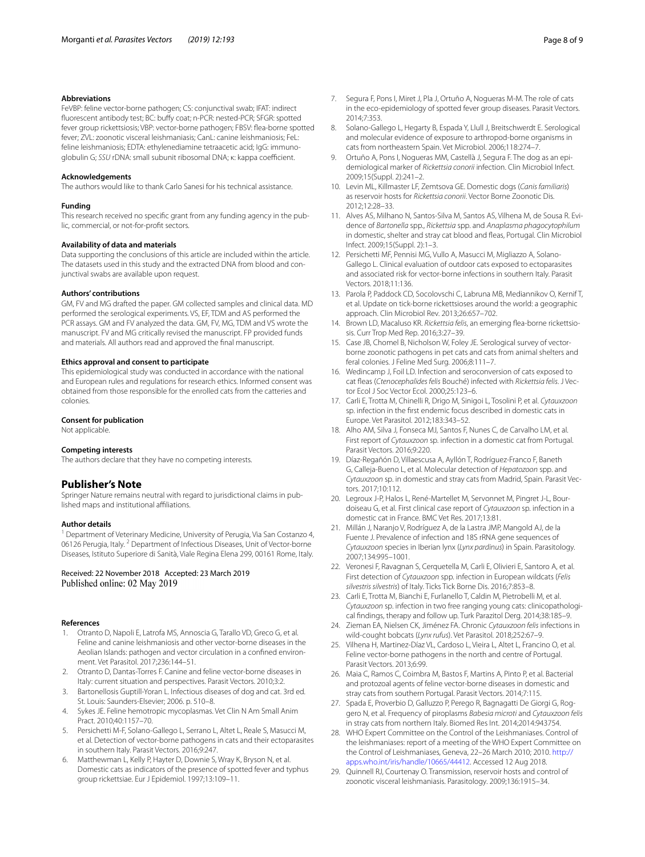#### **Abbreviations**

FeVBP: feline vector-borne pathogen; CS: conjunctival swab; IFAT: indirect fuorescent antibody test; BC: bufy coat; n-PCR: nested-PCR; SFGR: spotted fever group rickettsiosis; VBP: vector-borne pathogen; FBSV: fea-borne spotted fever; ZVL: zoonotic visceral leishmaniasis; CanL: canine leishmaniosis; FeL: feline leishmaniosis; EDTA: ethylenediamine tetraacetic acid; IgG: immunoqlobulin G; *SSU* rDNA: small subunit ribosomal DNA; κ: kappa coefficient.

#### **Acknowledgements**

The authors would like to thank Carlo Sanesi for his technical assistance.

#### **Funding**

This research received no specifc grant from any funding agency in the public, commercial, or not-for-proft sectors.

#### **Availability of data and materials**

Data supporting the conclusions of this article are included within the article. The datasets used in this study and the extracted DNA from blood and conjunctival swabs are available upon request.

# **Authors' contributions**

GM, FV and MG drafted the paper. GM collected samples and clinical data. MD performed the serological experiments. VS, EF, TDM and AS performed the PCR assays. GM and FV analyzed the data. GM, FV, MG, TDM and VS wrote the manuscript. FV and MG critically revised the manuscript. FP provided funds and materials. All authors read and approved the fnal manuscript.

#### **Ethics approval and consent to participate**

This epidemiological study was conducted in accordance with the national and European rules and regulations for research ethics. Informed consent was obtained from those responsible for the enrolled cats from the catteries and colonies.

#### **Consent for publication**

Not applicable.

#### **Competing interests**

The authors declare that they have no competing interests.

## **Publisher's Note**

Springer Nature remains neutral with regard to jurisdictional claims in published maps and institutional afliations.

#### **Author details**

<sup>1</sup> Department of Veterinary Medicine, University of Perugia, Via San Costanzo 4, 06126 Perugia, Italy. <sup>2</sup> Department of Infectious Diseases, Unit of Vector-borne Diseases, Istituto Superiore di Sanità, Viale Regina Elena 299, 00161 Rome, Italy.

#### Received: 22 November 2018 Accepted: 23 March 2019 Published online: 02 May 2019

#### **References**

- <span id="page-7-0"></span>1. Otranto D, Napoli E, Latrofa MS, Annoscia G, Tarallo VD, Greco G, et al. Feline and canine leishmaniosis and other vector-borne diseases in the Aeolian Islands: pathogen and vector circulation in a confned environment. Vet Parasitol. 2017;236:144–51.
- <span id="page-7-1"></span>2. Otranto D, Dantas-Torres F. Canine and feline vector-borne diseases in Italy: current situation and perspectives. Parasit Vectors. 2010;3:2.
- <span id="page-7-2"></span>3. Bartonellosis Guptill-Yoran L. Infectious diseases of dog and cat. 3rd ed. St. Louis: Saunders-Elsevier; 2006. p. 510–8.
- <span id="page-7-3"></span>4. Sykes JE. Feline hemotropic mycoplasmas. Vet Clin N Am Small Anim Pract. 2010;40:1157–70.
- <span id="page-7-4"></span>5. Persichetti M-F, Solano-Gallego L, Serrano L, Altet L, Reale S, Masucci M, et al. Detection of vector-borne pathogens in cats and their ectoparasites in southern Italy. Parasit Vectors. 2016;9:247.
- <span id="page-7-5"></span>6. Matthewman L, Kelly P, Hayter D, Downie S, Wray K, Bryson N, et al. Domestic cats as indicators of the presence of spotted fever and typhus group rickettsiae. Eur J Epidemiol. 1997;13:109–11.
- <span id="page-7-6"></span>7. Segura F, Pons I, Miret J, Pla J, Ortuño A, Nogueras M-M. The role of cats in the eco-epidemiology of spotted fever group diseases. Parasit Vectors. 2014;7:353.
- <span id="page-7-7"></span>8. Solano-Gallego L, Hegarty B, Espada Y, Llull J, Breitschwerdt E. Serological and molecular evidence of exposure to arthropod-borne organisms in cats from northeastern Spain. Vet Microbiol. 2006;118:274–7.
- <span id="page-7-8"></span>9. Ortuño A, Pons I, Nogueras MM, Castellà J, Segura F. The dog as an epidemiological marker of *Rickettsia conorii* infection. Clin Microbiol Infect. 2009;15(Suppl. 2):241–2.
- <span id="page-7-9"></span>10. Levin ML, Killmaster LF, Zemtsova GE. Domestic dogs (*Canis familiaris*) as reservoir hosts for *Rickettsia conorii*. Vector Borne Zoonotic Dis. 2012;12:28–33.
- <span id="page-7-10"></span>11. Alves AS, Milhano N, Santos-Silva M, Santos AS, Vilhena M, de Sousa R. Evidence of *Bartonella* spp., *Rickettsia* spp. and *Anaplasma phagocytophilum* in domestic, shelter and stray cat blood and feas, Portugal. Clin Microbiol Infect. 2009;15(Suppl. 2):1–3.
- <span id="page-7-11"></span>12. Persichetti MF, Pennisi MG, Vullo A, Masucci M, Migliazzo A, Solano-Gallego L. Clinical evaluation of outdoor cats exposed to ectoparasites and associated risk for vector-borne infections in southern Italy. Parasit Vectors. 2018;11:136.
- <span id="page-7-12"></span>13. Parola P, Paddock CD, Socolovschi C, Labruna MB, Mediannikov O, Kernif T, et al. Update on tick-borne rickettsioses around the world: a geographic approach. Clin Microbiol Rev. 2013;26:657–702.
- <span id="page-7-13"></span>14. Brown LD, Macaluso KR. *Rickettsia felis*, an emerging fea-borne rickettsiosis. Curr Trop Med Rep. 2016;3:27–39.
- <span id="page-7-14"></span>15. Case JB, Chomel B, Nicholson W, Foley JE. Serological survey of vectorborne zoonotic pathogens in pet cats and cats from animal shelters and feral colonies. J Feline Med Surg. 2006;8:111–7.
- <span id="page-7-15"></span>16. Wedincamp J, Foil LD. Infection and seroconversion of cats exposed to cat feas (*Ctenocephalides felis* Bouché) infected with *Rickettsia felis*. J Vector Ecol J Soc Vector Ecol. 2000;25:123–6.
- <span id="page-7-16"></span>17. Carli E, Trotta M, Chinelli R, Drigo M, Sinigoi L, Tosolini P, et al. *Cytauxzoon* sp. infection in the frst endemic focus described in domestic cats in Europe. Vet Parasitol. 2012;183:343–52.
- 18. Alho AM, Silva J, Fonseca MJ, Santos F, Nunes C, de Carvalho LM, et al. First report of *Cytauxzoon* sp. infection in a domestic cat from Portugal. Parasit Vectors. 2016;9:220.
- 19. Díaz-Regañón D, Villaescusa A, Ayllón T, Rodríguez-Franco F, Baneth G, Calleja-Bueno L, et al. Molecular detection of *Hepatozoon* spp. and *Cytauxzoon* sp. in domestic and stray cats from Madrid, Spain. Parasit Vectors. 2017;10:112.
- 20. Legroux J-P, Halos L, René-Martellet M, Servonnet M, Pingret J-L, Bourdoiseau G, et al. First clinical case report of *Cytauxzoon* sp. infection in a domestic cat in France. BMC Vet Res. 2017;13:81.
- 21. Millán J, Naranjo V, Rodríguez A, de la Lastra JMP, Mangold AJ, de la Fuente J. Prevalence of infection and 18S rRNA gene sequences of *Cytauxzoon* species in Iberian lynx (*Lynx pardinus*) in Spain. Parasitology. 2007;134:995–1001.
- <span id="page-7-18"></span>22. Veronesi F, Ravagnan S, Cerquetella M, Carli E, Olivieri E, Santoro A, et al. First detection of *Cytauxzoon* spp. infection in European wildcats (*Felis silvestris silvestris*) of Italy. Ticks Tick Borne Dis. 2016;7:853–8.
- <span id="page-7-17"></span>23. Carli E, Trotta M, Bianchi E, Furlanello T, Caldin M, Pietrobelli M, et al. *Cytauxzoon* sp. infection in two free ranging young cats: clinicopathological fndings, therapy and follow up. Turk Parazitol Derg. 2014;38:185–9.
- <span id="page-7-19"></span>24. Zieman EA, Nielsen CK, Jiménez FA. Chronic *Cytauxzoon felis* infections in wild-cought bobcats (*Lynx rufus*). Vet Parasitol. 2018;252:67–9.
- <span id="page-7-20"></span>25. Vilhena H, Martinez-Díaz VL, Cardoso L, Vieira L, Altet L, Francino O, et al. Feline vector-borne pathogens in the north and centre of Portugal. Parasit Vectors. 2013;6:99.
- <span id="page-7-21"></span>26. Maia C, Ramos C, Coimbra M, Bastos F, Martins A, Pinto P, et al. Bacterial and protozoal agents of feline vector-borne diseases in domestic and stray cats from southern Portugal. Parasit Vectors. 2014;7:115.
- <span id="page-7-22"></span>27. Spada E, Proverbio D, Galluzzo P, Perego R, Bagnagatti De Giorgi G, Roggero N, et al. Frequency of piroplasms *Babesia microti* and *Cytauxzoon felis* in stray cats from northern Italy. Biomed Res Int. 2014;2014:943754.
- <span id="page-7-23"></span>28. WHO Expert Committee on the Control of the Leishmaniases. Control of the leishmaniases: report of a meeting of the WHO Expert Committee on the Control of Leishmaniases, Geneva, 22–26 March 2010; 2010. [http://](http://apps.who.int/iris/handle/10665/44412) [apps.who.int/iris/handle/10665/44412](http://apps.who.int/iris/handle/10665/44412). Accessed 12 Aug 2018.
- <span id="page-7-24"></span>29. Quinnell RJ, Courtenay O. Transmission, reservoir hosts and control of zoonotic visceral leishmaniasis. Parasitology. 2009;136:1915–34.